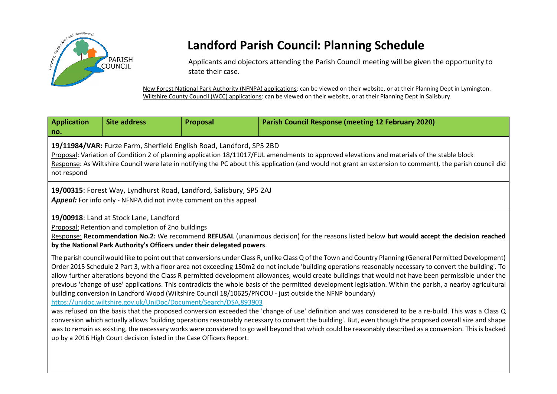

# **Landford Parish Council: Planning Schedule**

Applicants and objectors attending the Parish Council meeting will be given the opportunity to state their case.

New Forest National Park Authority (NFNPA) applications: can be viewed on their website, or at their Planning Dept in Lymington. Wiltshire County Council (WCC) applications: can be viewed on their website, or at their Planning Dept in Salisbury.

| <b>Application</b><br>no.                                                                                                                                                                                                                                                                                                                                                                                                                                                                                                                                                                                                                                                                                                                                                                                                                                                                                                                                                                                                                                                                                                                                                                                                                                                                                                                                                                 | <b>Site address</b> | Proposal | <b>Parish Council Response (meeting 12 February 2020)</b> |
|-------------------------------------------------------------------------------------------------------------------------------------------------------------------------------------------------------------------------------------------------------------------------------------------------------------------------------------------------------------------------------------------------------------------------------------------------------------------------------------------------------------------------------------------------------------------------------------------------------------------------------------------------------------------------------------------------------------------------------------------------------------------------------------------------------------------------------------------------------------------------------------------------------------------------------------------------------------------------------------------------------------------------------------------------------------------------------------------------------------------------------------------------------------------------------------------------------------------------------------------------------------------------------------------------------------------------------------------------------------------------------------------|---------------------|----------|-----------------------------------------------------------|
| 19/11984/VAR: Furze Farm, Sherfield English Road, Landford, SP5 2BD<br>Proposal: Variation of Condition 2 of planning application 18/11017/FUL amendments to approved elevations and materials of the stable block<br>Response: As Wiltshire Council were late in notifying the PC about this application (and would not grant an extension to comment), the parish council did<br>not respond                                                                                                                                                                                                                                                                                                                                                                                                                                                                                                                                                                                                                                                                                                                                                                                                                                                                                                                                                                                            |                     |          |                                                           |
| 19/00315: Forest Way, Lyndhurst Road, Landford, Salisbury, SP5 2AJ<br><b>Appeal:</b> For info only - NFNPA did not invite comment on this appeal                                                                                                                                                                                                                                                                                                                                                                                                                                                                                                                                                                                                                                                                                                                                                                                                                                                                                                                                                                                                                                                                                                                                                                                                                                          |                     |          |                                                           |
| 19/00918: Land at Stock Lane, Landford<br>Proposal: Retention and completion of 2no buildings<br>Response: Recommendation No.2: We recommend REFUSAL (unanimous decision) for the reasons listed below but would accept the decision reached<br>by the National Park Authority's Officers under their delegated powers.                                                                                                                                                                                                                                                                                                                                                                                                                                                                                                                                                                                                                                                                                                                                                                                                                                                                                                                                                                                                                                                                   |                     |          |                                                           |
| The parish council would like to point out that conversions under Class R, unlike Class Q of the Town and Country Planning (General Permitted Development)<br>Order 2015 Schedule 2 Part 3, with a floor area not exceeding 150m2 do not include 'building operations reasonably necessary to convert the building'. To<br>allow further alterations beyond the Class R permitted development allowances, would create buildings that would not have been permissible under the<br>previous 'change of use' applications. This contradicts the whole basis of the permitted development legislation. Within the parish, a nearby agricultural<br>building conversion in Landford Wood (Wiltshire Council 18/10625/PNCOU - just outside the NFNP boundary)<br>https://unidoc.wiltshire.gov.uk/UniDoc/Document/Search/DSA,893903<br>was refused on the basis that the proposed conversion exceeded the 'change of use' definition and was considered to be a re-build. This was a Class Q<br>conversion which actually allows 'building operations reasonably necessary to convert the building'. But, even though the proposed overall size and shape<br>was to remain as existing, the necessary works were considered to go well beyond that which could be reasonably described as a conversion. This is backed<br>up by a 2016 High Court decision listed in the Case Officers Report. |                     |          |                                                           |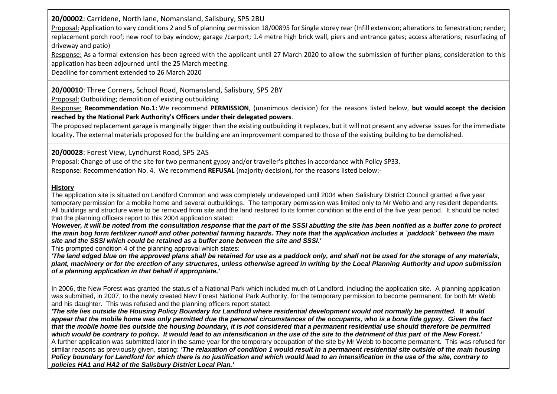**20/00002**: Carridene, North lane, Nomansland, Salisbury, SP5 2BU

Proposal: Application to vary conditions 2 and 5 of planning permission 18/00895 for Single storey rear (Infill extension; alterations to fenestration; render; replacement porch roof; new roof to bay window; garage /carport; 1.4 metre high brick wall, piers and entrance gates; access alterations; resurfacing of driveway and patio)

Response: As a formal extension has been agreed with the applicant until 27 March 2020 to allow the submission of further plans, consideration to this application has been adjourned until the 25 March meeting.

Deadline for comment extended to 26 March 2020

## **20/00010**: Three Corners, School Road, Nomansland, Salisbury, SP5 2BY

Proposal: Outbuilding; demolition of existing outbuilding

Response: **Recommendation No.1:** We recommend **PERMISSION**, (unanimous decision) for the reasons listed below, **but would accept the decision reached by the National Park Authority's Officers under their delegated powers**.

The proposed replacement garage is marginally bigger than the existing outbuilding it replaces, but it will not present any adverse issues for the immediate locality. The external materials proposed for the building are an improvement compared to those of the existing building to be demolished.

# **20/00028**: Forest View, Lyndhurst Road, SP5 2AS

Proposal: Change of use of the site for two permanent gypsy and/or traveller's pitches in accordance with Policy SP33. Response: Recommendation No. 4. We recommend **REFUSAL** (majority decision), for the reasons listed below:-

#### **History**

The application site is situated on Landford Common and was completely undeveloped until 2004 when Salisbury District Council granted a five year temporary permission for a mobile home and several outbuildings. The temporary permission was limited only to Mr Webb and any resident dependents. All buildings and structure were to be removed from site and the land restored to its former condition at the end of the five year period. It should be noted that the planning officers report to this 2004 application stated:

*'However, it will be noted from the consultation response that the part of the SSSI abutting the site has been notified as a buffer zone to protect the main bog form fertilizer runoff and other potential farming hazards. They note that the application includes a `paddock` between the main site and the SSSI which could be retained as a buffer zone between the site and SSSI.'*

This prompted condition 4 of the planning approval which states:

*'The land edged blue on the approved plans shall be retained for use as a paddock only, and shall not be used for the storage of any materials, plant, machinery or for the erection of any structures, unless otherwise agreed in writing by the Local Planning Authority and upon submission of a planning application in that behalf if appropriate.'*

In 2006, the New Forest was granted the status of a National Park which included much of Landford, including the application site. A planning application was submitted, in 2007, to the newly created New Forest National Park Authority, for the temporary permission to become permanent, for both Mr Webb and his daughter. This was refused and the planning officers report stated:

'The site lies outside the Housing Policy Boundary for Landford where residential development would not normally be permitted. It would *appear that the mobile home was only permitted due the personal circumstances of the occupants, who is a bona fide gypsy. Given the fact that the mobile home lies outside the housing boundary, it is not considered that a permanent residential use should therefore be permitted which would be contrary to policy. It would lead to an intensification in the use of the site to the detriment of this part of the New Forest.'* A further application was submitted later in the same year for the temporary occupation of the site by Mr Webb to become permanent. This was refused for similar reasons as previously given, stating: *'The relaxation of condition 1 would result in a permanent residential site outside of the main housing Policy boundary for Landford for which there is no justification and which would lead to an intensification in the use of the site, contrary to policies HA1 and HA2 of the Salisbury District Local Plan.'*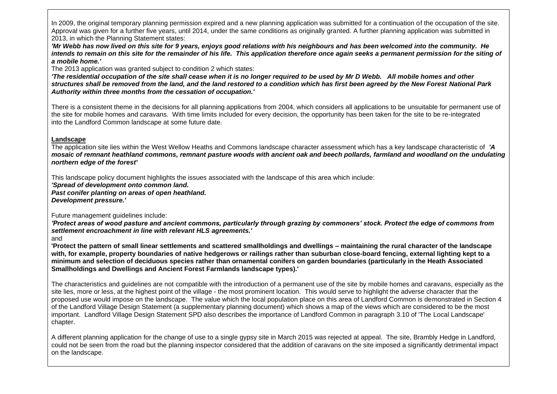In 2009, the original temporary planning permission expired and a new planning application was submitted for a continuation of the occupation of the site. Approval was given for a further five years, until 2014, under the same conditions as originally granted. A further planning application was submitted in 2013, in which the Planning Statement states:

*'Mr Webb has now lived on this site for 9 years, enjoys good relations with his neighbours and has been welcomed into the community. He intends to remain on this site for the remainder of his life. This application therefore once again seeks a permanent permission for the siting of a mobile home.'*

The 2013 application was granted subject to condition 2 which states:

*'The residential occupation of the site shall cease when it is no longer required to be used by Mr D Webb. All mobile homes and other structures shall be removed from the land, and the land restored to a condition which has first been agreed by the New Forest National Park Authority within three months from the cessation of occupation.'*

There is a consistent theme in the decisions for all planning applications from 2004, which considers all applications to be unsuitable for permanent use of the site for mobile homes and caravans. With time limits included for every decision, the opportunity has been taken for the site to be re-integrated into the Landford Common landscape at some future date.

#### **Landscape**

The application site lies within the West Wellow Heaths and Commons landscape character assessment which has a key landscape characteristic of *'A mosaic of remnant heathland commons, remnant pasture woods with ancient oak and beech pollards, farmland and woodland on the undulating northern edge of the forest'*

This landscape policy document highlights the issues associated with the landscape of this area which include:

*'Spread of development onto common land.*

*Past conifer planting on areas of open heathland.*

*Development pressure.'*

Future management guidelines include:

*'Protect areas of wood pasture and ancient commons, particularly through grazing by commoners' stock. Protect the edge of commons from settlement encroachment in line with relevant HLS agreements.'*

and

**'Protect the pattern of small linear settlements and scattered smallholdings and dwellings – maintaining the rural character of the landscape with, for example, property boundaries of native hedgerows or railings rather than suburban close-board fencing, external lighting kept to a minimum and selection of deciduous species rather than ornamental conifers on garden boundaries (particularly in the Heath Associated Smallholdings and Dwellings and Ancient Forest Farmlands landscape types).'** 

The characteristics and guidelines are not compatible with the introduction of a permanent use of the site by mobile homes and caravans, especially as the site lies, more or less, at the highest point of the village - the most prominent location. This would serve to highlight the adverse character that the proposed use would impose on the landscape. The value which the local population place on this area of Landford Common is demonstrated in Section 4 of the Landford Village Design Statement (a supplementary planning document) which shows a map of the views which are considered to be the most important. Landford Village Design Statement SPD also describes the importance of Landford Common in paragraph 3.10 of 'The Local Landscape' chapter.

A different planning application for the change of use to a single gypsy site in March 2015 was rejected at appeal. The site, Brambly Hedge in Landford, could not be seen from the road but the planning inspector considered that the addition of caravans on the site imposed a significantly detrimental impact on the landscape.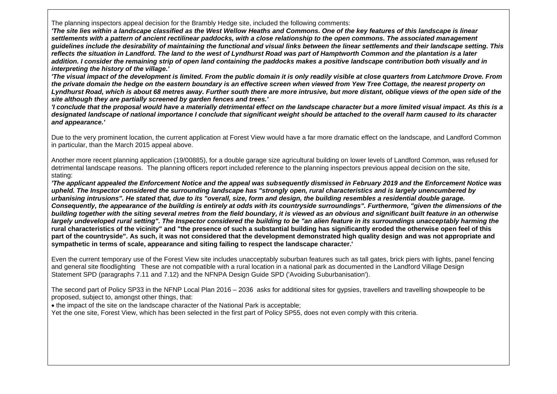The planning inspectors appeal decision for the Brambly Hedge site, included the following comments:

*'The site lies within a landscape classified as the West Wellow Heaths and Commons. One of the key features of this landscape is linear settlements with a pattern of ancient rectilinear paddocks, with a close relationship to the open commons. The associated management guidelines include the desirability of maintaining the functional and visual links between the linear settlements and their landscape setting. This reflects the situation in Landford. The land to the west of Lyndhurst Road was part of Hamptworth Common and the plantation is a later addition. I consider the remaining strip of open land containing the paddocks makes a positive landscape contribution both visually and in interpreting the history of the village.'*

*'The visual impact of the development is limited. From the public domain it is only readily visible at close quarters from Latchmore Drove. From the private domain the hedge on the eastern boundary is an effective screen when viewed from Yew Tree Cottage, the nearest property on Lyndhurst Road, which is about 68 metres away. Further south there are more intrusive, but more distant, oblique views of the open side of the site although they are partially screened by garden fences and trees.'*

*'I conclude that the proposal would have a materially detrimental effect on the landscape character but a more limited visual impact. As this is a designated landscape of national importance I conclude that significant weight should be attached to the overall harm caused to its character and appearance.'*

Due to the very prominent location, the current application at Forest View would have a far more dramatic effect on the landscape, and Landford Common in particular, than the March 2015 appeal above.

Another more recent planning application (19/00885), for a double garage size agricultural building on lower levels of Landford Common, was refused for detrimental landscape reasons. The planning officers report included reference to the planning inspectors previous appeal decision on the site, stating:

*'The applicant appealed the Enforcement Notice and the appeal was subsequently dismissed in February 2019 and the Enforcement Notice was upheld. The Inspector considered the surrounding landscape has "strongly open, rural characteristics and is largely unencumbered by urbanising intrusions". He stated that, due to its "overall, size, form and design, the building resembles a residential double garage. Consequently, the appearance of the building is entirely at odds with its countryside surroundings". Furthermore, "given the dimensions of the building together with the siting several metres from the field boundary, it is viewed as an obvious and significant built feature in an otherwise largely undeveloped rural setting". The Inspector considered the building to be "an alien feature in its surroundings unacceptably harming the* **rural characteristics of the vicinity" and "the presence of such a substantial building has significantly eroded the otherwise open feel of this part of the countryside". As such, it was not considered that the development demonstrated high quality design and was not appropriate and sympathetic in terms of scale, appearance and siting failing to respect the landscape character.'** 

Even the current temporary use of the Forest View site includes unacceptably suburban features such as tall gates, brick piers with lights, panel fencing and general site floodlighting These are not compatible with a rural location in a national park as documented in the Landford Village Design Statement SPD (paragraphs 7.11 and 7.12) and the NFNPA Design Guide SPD ('Avoiding Suburbanisation').

The second part of Policy SP33 in the NFNP Local Plan 2016 – 2036 asks for additional sites for gypsies, travellers and travelling showpeople to be proposed, subject to, amongst other things, that:

• the impact of the site on the landscape character of the National Park is acceptable;

Yet the one site, Forest View, which has been selected in the first part of Policy SP55, does not even comply with this criteria.